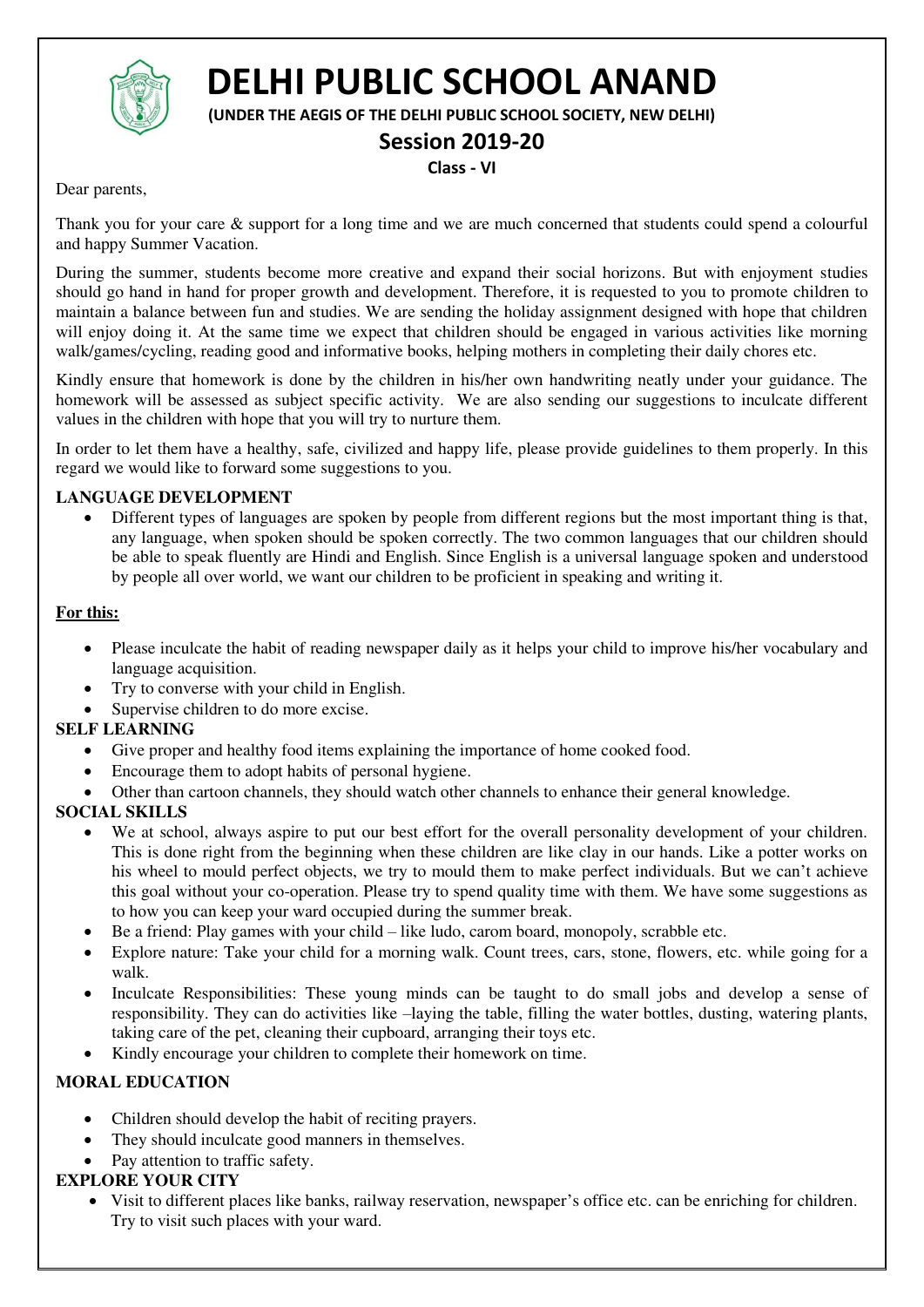

# **DELHI PUBLIC SCHOOL ANAND**

**(UNDER THE AEGIS OF THE DELHI PUBLIC SCHOOL SOCIETY, NEW DELHI)** 

# **Session 2019-20**

#### **Class - VI**

Dear parents,

Thank you for your care & support for a long time and we are much concerned that students could spend a colourful and happy Summer Vacation.

During the summer, students become more creative and expand their social horizons. But with enjoyment studies should go hand in hand for proper growth and development. Therefore, it is requested to you to promote children to maintain a balance between fun and studies. We are sending the holiday assignment designed with hope that children will enjoy doing it. At the same time we expect that children should be engaged in various activities like morning walk/games/cycling, reading good and informative books, helping mothers in completing their daily chores etc.

Kindly ensure that homework is done by the children in his/her own handwriting neatly under your guidance. The homework will be assessed as subject specific activity. We are also sending our suggestions to inculcate different values in the children with hope that you will try to nurture them.

In order to let them have a healthy, safe, civilized and happy life, please provide guidelines to them properly. In this regard we would like to forward some suggestions to you.

#### **LANGUAGE DEVELOPMENT**

 Different types of languages are spoken by people from different regions but the most important thing is that, any language, when spoken should be spoken correctly. The two common languages that our children should be able to speak fluently are Hindi and English. Since English is a universal language spoken and understood by people all over world, we want our children to be proficient in speaking and writing it.

#### **For this:**

- Please inculcate the habit of reading newspaper daily as it helps your child to improve his/her vocabulary and language acquisition.
- Try to converse with your child in English.
- Supervise children to do more excise.

### **SELF LEARNING**

- Give proper and healthy food items explaining the importance of home cooked food.
- Encourage them to adopt habits of personal hygiene.
- Other than cartoon channels, they should watch other channels to enhance their general knowledge.

### **SOCIAL SKILLS**

- We at school, always aspire to put our best effort for the overall personality development of your children. This is done right from the beginning when these children are like clay in our hands. Like a potter works on his wheel to mould perfect objects, we try to mould them to make perfect individuals. But we can't achieve this goal without your co-operation. Please try to spend quality time with them. We have some suggestions as to how you can keep your ward occupied during the summer break.
- Be a friend: Play games with your child like ludo, carom board, monopoly, scrabble etc.
- Explore nature: Take your child for a morning walk. Count trees, cars, stone, flowers, etc. while going for a walk.
- Inculcate Responsibilities: These young minds can be taught to do small jobs and develop a sense of responsibility. They can do activities like –laying the table, filling the water bottles, dusting, watering plants, taking care of the pet, cleaning their cupboard, arranging their toys etc.
- Kindly encourage your children to complete their homework on time.

## **MORAL EDUCATION**

- Children should develop the habit of reciting prayers.
- They should inculcate good manners in themselves.
- Pay attention to traffic safety.

## **EXPLORE YOUR CITY**

 Visit to different places like banks, railway reservation, newspaper's office etc. can be enriching for children. Try to visit such places with your ward.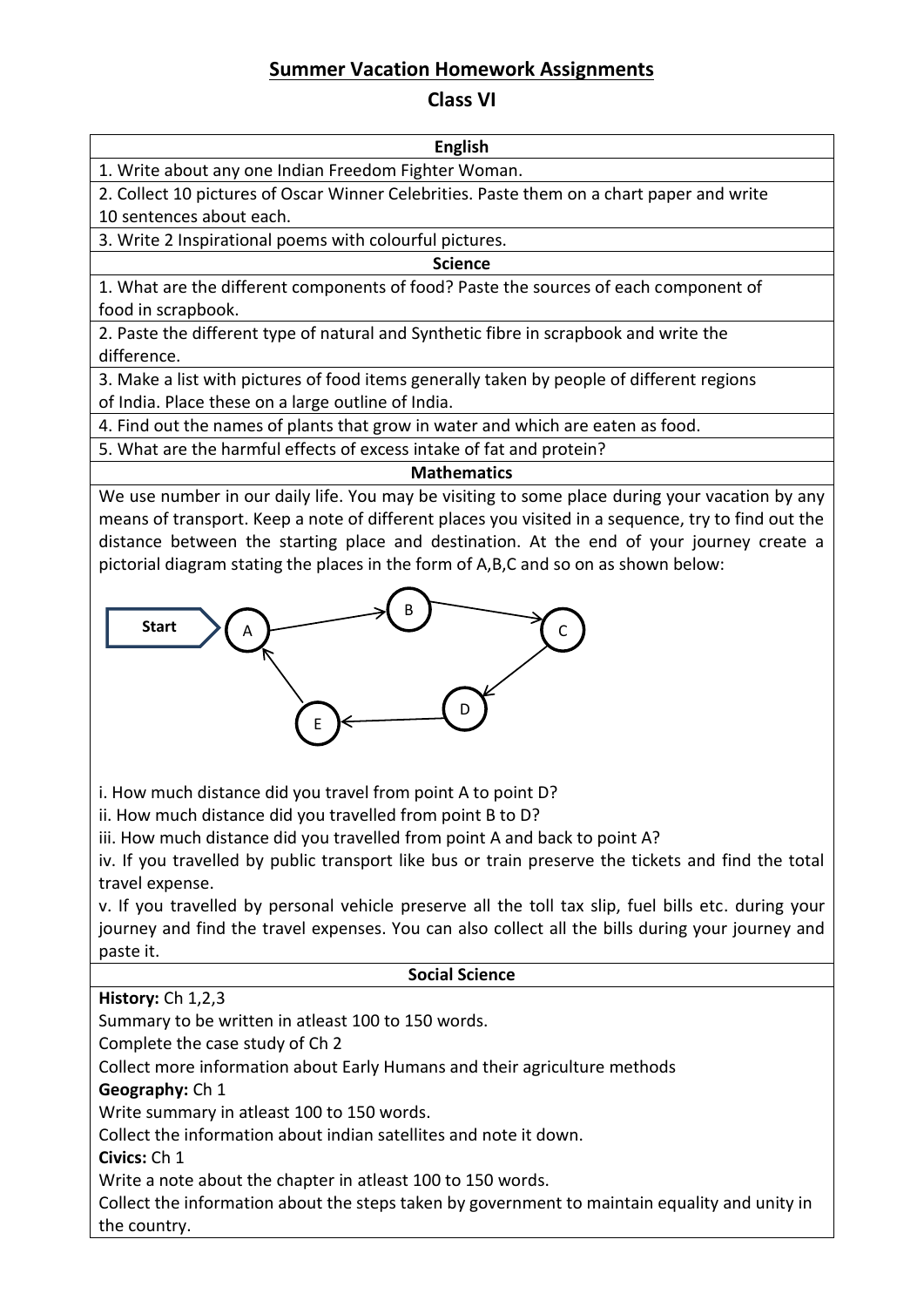## **Summer Vacation Homework Assignments**

## **Class VI**

**English**  1. Write about any one Indian Freedom Fighter Woman.

2. Collect 10 pictures of Oscar Winner Celebrities. Paste them on a chart paper and write 10 sentences about each.

3. Write 2 Inspirational poems with colourful pictures.

## **Science**

1. What are the different components of food? Paste the sources of each component of food in scrapbook.

2. Paste the different type of natural and Synthetic fibre in scrapbook and write the difference.

3. Make a list with pictures of food items generally taken by people of different regions of India. Place these on a large outline of India.

4. Find out the names of plants that grow in water and which are eaten as food.

5. What are the harmful effects of excess intake of fat and protein?

## **Mathematics**

We use number in our daily life. You may be visiting to some place during your vacation by any means of transport. Keep a note of different places you visited in a sequence, try to find out the distance between the starting place and destination. At the end of your journey create a pictorial diagram stating the places in the form of A,B,C and so on as shown below:



i. How much distance did you travel from point A to point D?

ii. How much distance did you travelled from point B to D?

iii. How much distance did you travelled from point A and back to point A?

iv. If you travelled by public transport like bus or train preserve the tickets and find the total travel expense.

v. If you travelled by personal vehicle preserve all the toll tax slip, fuel bills etc. during your journey and find the travel expenses. You can also collect all the bills during your journey and paste it.

### **Social Science**

**History:** Ch 1,2,3

Summary to be written in atleast 100 to 150 words.

Complete the case study of Ch 2

Collect more information about Early Humans and their agriculture methods

**Geography:** Ch 1

Write summary in atleast 100 to 150 words.

Collect the information about indian satellites and note it down.

**Civics:** Ch 1

Write a note about the chapter in atleast 100 to 150 words.

Collect the information about the steps taken by government to maintain equality and unity in the country.